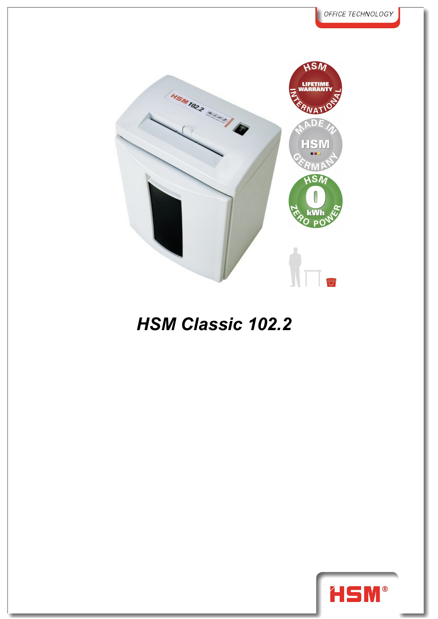

## *HSM Classic 102.2*

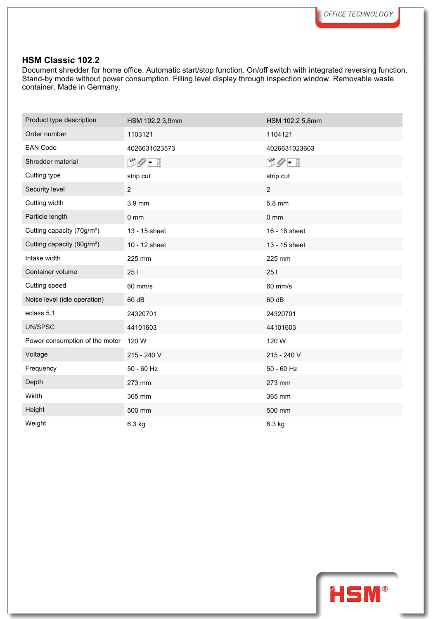## **HSM Classic 102.2**

Document shredder for home office. Automatic start/stop function. On/off switch with integrated reversing function. Stand-by mode without power consumption. Filling level display through inspection window. Removable waste container. Made in Germany.

| Product type description               | HSM 102.2 3,9mm             | HSM 102.2 5,8mm                        |
|----------------------------------------|-----------------------------|----------------------------------------|
| Order number                           | 1103121                     | 1104121                                |
| <b>EAN Code</b>                        | 4026631023573               | 4026631023603                          |
| Shredder material                      | $\mathbb{D}\mathscr{O}$ - ! | $\mathbb{D}\mathscr{O}$ - $\mathbb{I}$ |
| Cutting type                           | strip cut                   | strip cut                              |
| Security level                         | $\overline{2}$              | $\overline{2}$                         |
| Cutting width                          | 3.9 mm                      | 5.8 mm                                 |
| Particle length                        | 0 <sub>mm</sub>             | $0 \text{ mm}$                         |
| Cutting capacity (70g/m <sup>2</sup> ) | 13 - 15 sheet               | 16 - 18 sheet                          |
| Cutting capacity (80g/m <sup>2</sup> ) | 10 - 12 sheet               | 13 - 15 sheet                          |
| Intake width                           | 225 mm                      | 225 mm                                 |
| Container volume                       | 251                         | 251                                    |
| Cutting speed                          | 60 mm/s                     | 60 mm/s                                |
| Noise level (idle operation)           | 60 dB                       | 60 dB                                  |
| eclass 5.1                             | 24320701                    | 24320701                               |
| UN/SPSC                                | 44101603                    | 44101603                               |
| Power consumption of the motor         | 120 W                       | 120 W                                  |
| Voltage                                | 215 - 240 V                 | 215 - 240 V                            |
| Frequency                              | $50 - 60$ Hz                | 50 - 60 Hz                             |
| Depth                                  | 273 mm                      | 273 mm                                 |
| Width                                  | 365 mm                      | 365 mm                                 |
| Height                                 | 500 mm                      | 500 mm                                 |
| Weight                                 | 6.3 kg                      | 6.3 kg                                 |